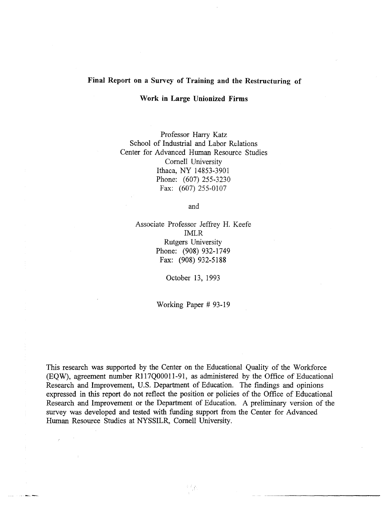#### **Final Report on a Survey of Training and the Restructuring of**

#### **Work in Large Unionized Firms**

Professor Harry Katz School of Industrial and Labor Relations Center for Advanced Human Resource Studies Cornell University Ithaca, NY 14853-3901 Phone: (607) 255-3230 Fax: (607) 255-0107

and

Associate Professor Jeffrey H. Keefe IMLR Rutgers University Phone: (908) 932-1749 Fax: (908) 932-5188

October 13, 1993

Working Paper # 93-19

This research was supported by the Center on the Educational Quality of the Workforce (EQw), agreement number R117QOOOll-91, as administered by the Office of Educational Research and Improvement, U.S. Department of Education. The findings and opinions expressed in this report do not reflect the position or policies of the Office of Educational Research and Improvement or the Department of Education. A preliminary version of the survey was developed and tested with funding support from the Center for Advanced Human Resource Studies at NYSSILR, Cornell University.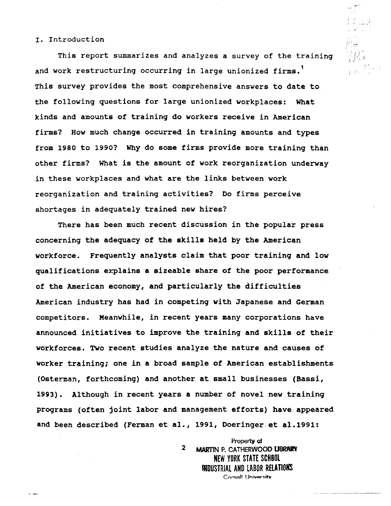#### I. Introduction

This report summarizes and analyzes a survey of the training and work restructuring occurring in large unionized firms.<sup>1</sup> This survey provides the most comprehensive answers to date to the following questions for large unionized workplaces: What kinds and amounts of training do workers receive in American firms? How much change occurred in training amounts and types from 1980 to 1990? Why do some firms provide more training than other firms? What is the amount of work reorganization underway in these workplaces and what are the links between work reorganization and training activities? Do firms perceive shortages in adequately trained new hires?

 $r_{10} = \frac{25}{15}$ 

There has been much recent discussion in the popular press concerning the adequacy of the skills held by the American workforce. Frequently analysts claim that poor training and low qualifications explains a sizeable share of the poor performance of the American economy, and particularly the difficulties American industry has had in competing with Japanese and German competitors. Meanwhile, in recent years many corporations have announced initiatives to improve the training and skills of their workforces. Two recent studies analyze the nature and causes of worker training; one in a broad sample of American establishments (Osterman, forthcoming) and another at small businesses (Bassi, 1993). Although in recent years a number of novel new training programs (often joint labor and management efforts) have. appeared and been described (Ferman et al., 1991, Doeringer et al.1991:

> 2 Property of MARTIN P. CATHERWOOD LIBRARY NEW YORK STATE SCHBOL INDUSTRIAL AND LABOR RELATIONS Cornell University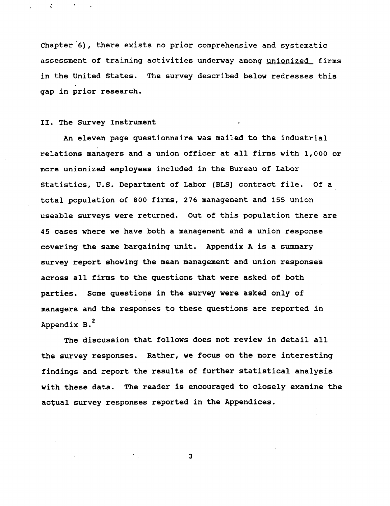Chapter'6), there exists no prior comprehensive and systematic assessment of training activities underway among unionized firms in the united states. The survey described below redresses this gap in prior research.

#### II. The Survey Instrument

 $\mathcal{E}$ 

An eleven page questionnaire was mailed to the industrial relations managers and a union officer at all firms with 1,000 or more unionized employees included in the Bureau of Labor statistics, u.s. Department of Labor (BLS) contract file. Of a total population of 800 firms, 276 management and 155 union useable surveys were returned. out of this population there are 45 cases where we have both a management and a union response covering the same bargaining unit. Appendix A is a summary survey report showing the mean management and union responses across all firms to the questions that were asked of both parties. Some questions in the survey were asked only of managers and the responses to these questions are reported in Appendix B.<sup>2</sup>

The discussion that follows does not review in detail all the survey responses. Rather, we focus on the more interesting findings and report the results of further statistical analysis with these data. The reader is encouraged to closely examine the actual survey responses reported in the Appendices.

3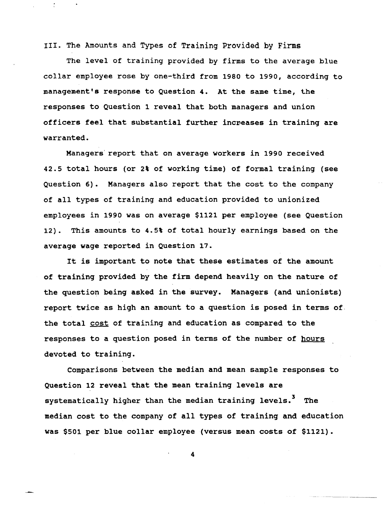III. The Amounts and Types of Training Provided by Firms

The level of training provided by firms to the average blue collar employee rose by one-third from 1980 to 1990, according to management's response to Question 4. At the same time, the responses to Question 1 reveal that both managers and union officers feel that substantial further increases in training are warranted.

Managers' report that on average workers in 1990 received 42.5 total hours (or 2% of working time) of formal training (see Question 6). Managers also report that the cost to the company of all types of training and education provided to unionized employees in 1990 was on average \$1121 per employee (see Question 12). This amounts to 4.5% of total hourly earnings based on the average wage reported in Question 17.

It is important to note that these estimates of the amount of training provided by the firm depend heavily on the nature of the question being asked in the survey. Managers (and unionists) report twice as high an amount to a question is posed in terms of. the total cost of training and education as compared to the responses to a question posed in terms of the number of hours devoted to training.

Comparisons between the median and mean sample responses to Question 12 reveal that the mean training levels are systematically higher than the median training levels.<sup>3</sup> The median cost to the company of all types of training and education was \$501 per blue collar employee (versus mean costs of \$1121).

4

--~-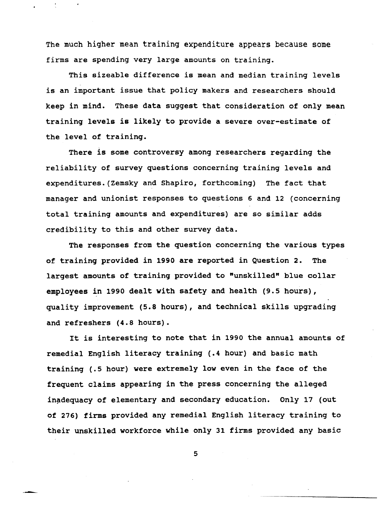The much higher mean training expenditure appears because some firms are spending very large amounts on training.

This sizeable difference is mean and median training levels is an important issue that policy makers and researchers should keep in mind. These data suggest that consideration of only mean training levels is likely to provide a severe over-estimate of the level of training.

There is some controversy among researchers regarding the reliability of survey questions concerning training levels and expenditures. (Zemsky and Shapiro, forthcoming) The fact that manager and unionist responses to questions 6 and 12 (concerning total training amounts and expenditures) are so similar adds credibility to this and other survey data.

The responses from the question concerning the various types of training provided in 1990 are reported in Question 2. The largest amounts of training provided to "unskilled" blue collar employees in 1990 dealt with safety and health (9.5 hours), quality improvement (5.8 hours), and technical skills upgrading and refreshers (4.8 hours).

It is interesting to note that in 1990 the annual amounts of remedial English literacy training (.4 hour) and basic math training (.5 hour) were extremely low even in the face of the frequent claims appearing in the press concerning the alleged inadequacy of elementary and secondary education. Only 17 (out of 276) firms provided any remedial English literacy training to their unskilled workforce while only 31 firms provided any basic

5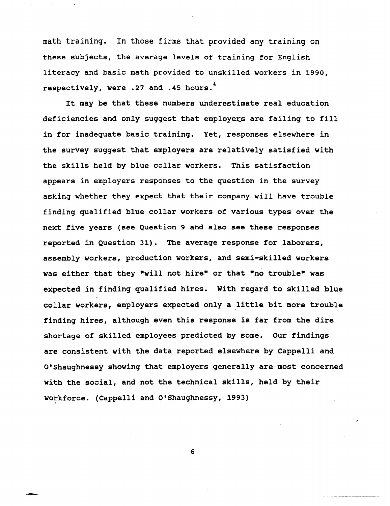math training. In those firms that provided any training on these subjects, the average levels of training for English literacy and basic math provided to unskilled workers in 1990, respectively, were .27 and .45 hours.<sup>4</sup>

It may be that these numbers underestimate real education deficiencies and only suggest that employers are failing to fill in for inadequate basic training. Yet, responses elsewhere in the survey suggest that employers are relatively satisfied with the skills held by blue collar workers. This satisfaction appears in employers responses to the question in the survey asking whether they expect that their company will have trouble finding qualified blue collar workers of various types over the next five years (see Question 9 and also see these responses reported in Question 31). The average response for laborers, assembly workers, production workers, and semi-skilled workers was either that they "will not hire" or that "no trouble" was expected in finding qualified hires. with regard to skilled blue collar workers, employers expected only a little bit more trouble finding hires, although even this response is far from the dire shortage of skilled employees predicted by some. Our findings are consistent with the data reported elsewhere by Cappelli and O'Shaughnessy showing that employers generally are most concerned with the social, and not the technical skills, held by their workforce. (Cappelli and O'Shaughnessy, 1993)

6

...- ~-~-~-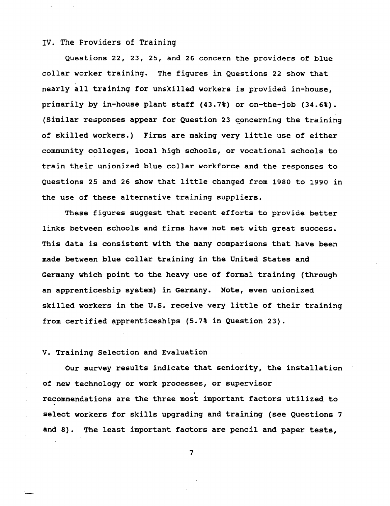#### IV. The Providers of Training

Questions 22, 23, 25, and 26 concern the providers of blue collar worker training. The figures in Questions 22 show that nearly all training for unskilled workers is provided in-house, primarily by in-house plant staff (43.7%) or on-the-job (34.6%). (Similar responses appear for Question 23 concerning the training of skilled workers.) Firms are making very little use of either community colleges, local high schools, or vocational schools to train their unionized blue collar workforce and the responses to Questions 25 and 26 show that little changed from 1980 to 1990 in the use of these alternative training suppliers.

These figures suggest that recent efforts to provide better links between schools and firms have not met with great success. This data is consistent with the many comparisons that have been made between blue collar training in the United states and Germany which point to the heavy use of formal training (through an apprenticeship system) in Germany. Note, even unionized skilled workers in the U.s. receive very little of their training from certified apprenticeships (5.7% in Question 23).

#### v. Training Selection and Evaluation

Our survey results indicate that seniority, the installation of new technology or work processes, or supervisor recommendations are the three most important factors utilized to select workers for skills upgrading and training (see Questions 7 and 8). The least important factors are pencil and paper tests,

7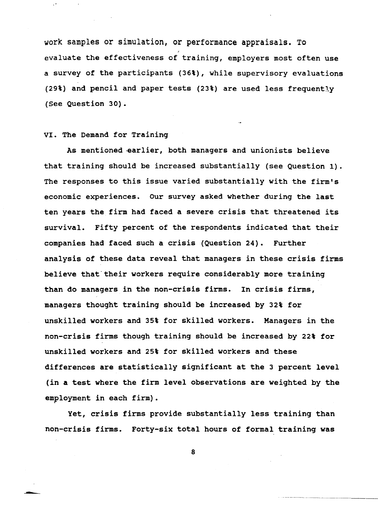work samples or simulation, or performance appraisals. To , evaluate the effectiveness of training, employers most often use a survey of the participants (36\), while supervisory evaluations (29\) and pencil and paper tests (23%) are used less frequently (See Question 30).

#### VI. The Demand for Training

---

As mentioned earlier, both managers and unionists believe that training should be increased substantially (see Question 1). The responses to this issue varied substantially with the firm's economic experiences. Our survey asked whether during the last ten years the firm had faced a severe crisis that threatened its survival. Fifty percent of the respondents indicated that their companies had faced such a crisis (Question 24). Further analysis of these data reveal that managers in these crisis firms believe that their workers require considerably more training than do managers in the non-crisis firms. In crisis firms, managers thought training should be increased by 32% for unskilled workers and 35% for skilled workers. Managers in the non-crisis firms though training should be increased by 22% for unskilled workers and 25% for skilled workers and these differences are statistically significant at the 3 percent level (in a test where the firm level observations are weighted by the employment in each firm).

Yet, crisis firms provide substantially less training than non-crisis firms. Forty-six total hours of formal training was

8

-\_.~ -----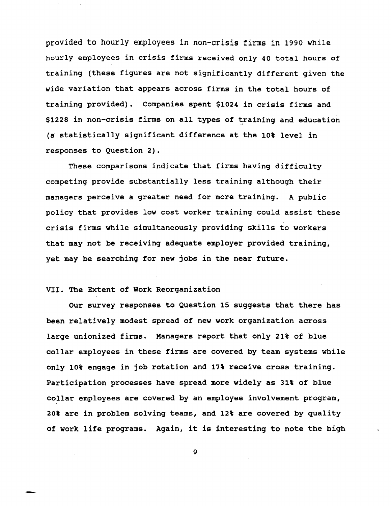provided to hourly employees in non-crisis firms in 1990 while hourly employees in crisis firms received only 40 total hours of training (these figures are not significantly different given the wide variation that appears across firms in the total hours of training provided). Companies spent \$1024 in crisis firms and  $$1228$  in non-crisis firms on all types of training and education (a statistically significant difference at the 10% level in responses to Question 2).

These comparisons indicate that firms having difficulty competing provide substantially less training although their managers perceive a greater need for more training. A public policy that provides low cost worker training could assist these crisis firms while simultaneously providing skills to workers that may not be receiving adequate employer provided training, yet may be searching for new jobs in the near future.

#### VII. The Extent of Work Reorganization

~-

Our survey responses to Question 15 suggests that there has been relatively modest spread of new work organization across large unionized firms. Managers report that only 21% of blue collar employees in these firms are covered by team systems while only lot engage in job rotation and 17t receive cross training. Participation processes have spread more widely as 31t of blue collar employees are covered by an employee involvement program, 20% are in problem solving teams, and 12t are covered by quality of work life programs. Again, it is interesting to note the high

9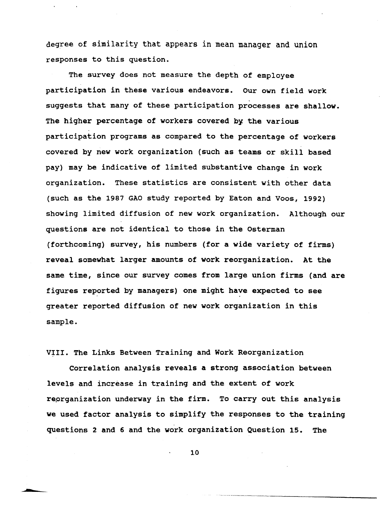degree of similarity that appears in mean manager and union responses to this question.

The survey does not measure the depth of employee participation in these various endeavors. Our own field work suggests that many of these participation processes are shallow. The higher percentage of workers covered by the various participation programs as compared to the percentage of workers covered by new work organization (such as teams or skill based pay) may be indicative of limited substantive change in work organization. These statistics are consistent with other data (such as the 1987 GAO study reported by Eaton and Voos, 1992) showing limited diffusion of new work organization. Although our questions are not identical to those in the Osterman (forthcoming) survey, his numbers (for a wide variety of firms) reveal somewhat larger amounts of work reorganization. At the same time, since our survey comes from large union firms (and are figures reported by managers) one might have expected to see greater reported diffusion of new work organization in this sample.

VIII. The Links Between Training and Work Reorganization

Correlation analysis reveals a strong association between levels and increase in training and the extent of work reprganization underway in the firm. To carry out this analysis we used factor analysis to simplify the responses to the training questions 2 and 6 and the work organization Question 15. The

10

. ~---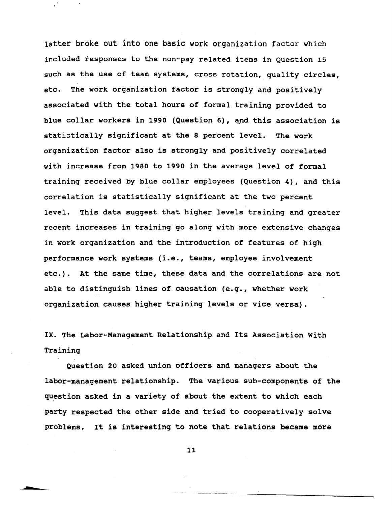latter broke out into one basic work organization factor which included responses to the non-pay related items in Question 15 such as the use of team systems, cross rotation, quality circles, etc. The work organization factor is strongly and positively associated with the total hours of formal training provided to blue collar workers in 1990 (Question 6), and this association is statistically significant at the 8 percent level. The work organization factor also is strongly and positively correlated with increase from 1980 to 1990 in the average level of formal training received by blue collar employees (Question 4), and this correlation is statistically significant at the two percent level. This data suggest that higher levels training and greater recent increases in training go along with more extensive changes in work organization and the introduction of features of high performance work systems (i.e., teams, employee involvement etc.). At the same time, these data and the correlations are not able to distinguish lines of causation (e.g., whether work organization causes higher training levels or vice versa).

IX. The Labor-Management Relationship and Its Association With Training

Question 20 asked union officers and managers about the labor-management relationship. The various sub-components of the question asked in a variety of about the extent to which each party respected the other side and tried to cooperatively solve problems. It is interesting to note that relations became more

11

--- -- --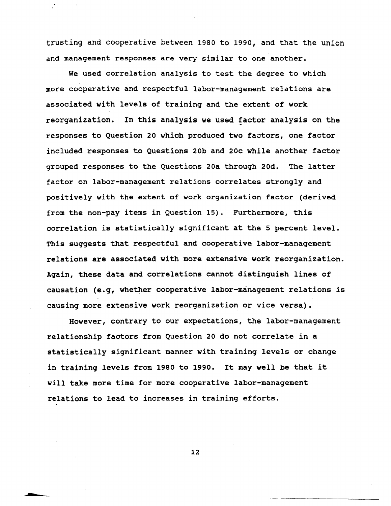trusting and cooperative between 1980 to 1990, and that the union and management responses are very similar to one another.

We used correlation analysis to test the degree to which more cooperative and respectful labor-management relations are associated with levels of training and the extent of work reorganization. In this analysis we used factor analysis on the responses to Question 20 which produced two factors, one factor included responses to Questions 20b and 20c while another factor grouped responses to the Questions 20a through 20d. The latter factor on labor-management relations correlates strongly and positively with the extent of work organization factor (derived from the non-pay items in Question 15). Furthermore, this correlation is statistically significant at the 5 percent level. This suggests that respectful and cooperative labor-management relations are associated with more extensive work reorganization. Again, these data and correlations cannot distinguish lines of causation (e.g, whether cooperative labor-management relations is causing more extensive work reorganization or vice versa).

However, contrary to our expectations, the labor-management relationship factors from Question 20 do not correlate in a statistically significant manner with training levels or change in training levels from 1980 to 1990. It may well be that it will take more time for more cooperative labor-management relations to lead to increases in training efforts.

12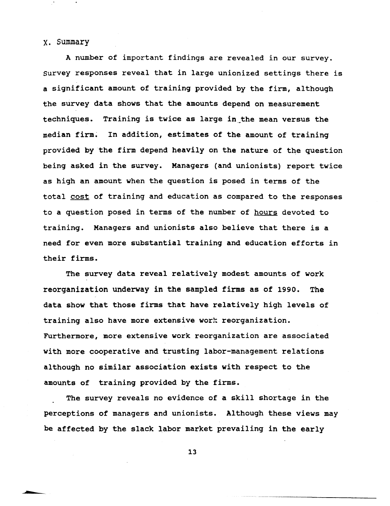#### X. Summary

--

A number of important findings are revealed in our survey. survey responses reveal that in large unionized settings there is a significant amount of training provided by the firm, although the survey data shows that the amounts depend on measurement techniques. Training is twice as large in the mean versus the median firm. In addition, estimates of the amount of training provided by the firm depend heavily on the nature of the question being asked in the survey. Managers (and unionists) report twice as high an amount when the question is posed in terms of the total cost of training and education as compared to the responses to a question posed in terms of the number of hours devoted to training. Managers and unionists also believe that there is a need for even more substantial training and education efforts in their firms.

The survey data reveal relatively modest amounts of work reorganization underway in the sampled firms as of 1990. The data show that those firms that have relatively high levels of training also have more extensive work reorganization. Furthermore, more extensive work reorganization are associated with more cooperative and trusting labor-management relations although no similar association exists with respect to the amounts of training provided by the firms.

The survey reveals no evidence of a skill shortage in the perceptions of managers and unionists. Although these views may be affected by the slack labor market prevailing in the early

13

------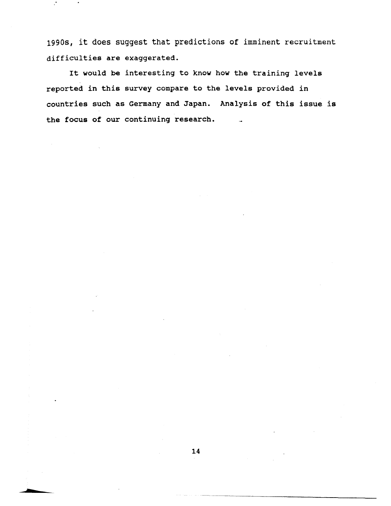1990s, it does suggest that predictions of imminent recruitment difficulties are exaggerated.

 $\mathcal{C}$ 

It would be interesting to know how the training levels reported in this survey compare to the levels provided in countries such as Germany and Japan. Analysis of this issue is the focus of our continuing research.  $\sim$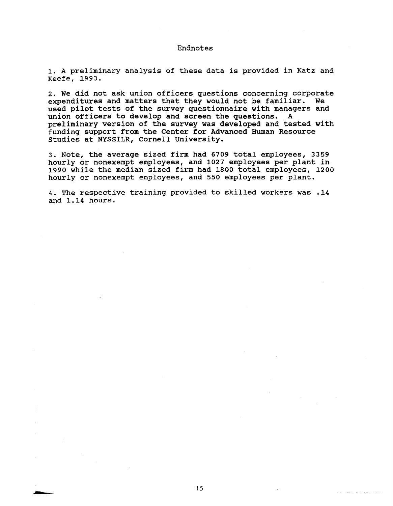#### Endnotes

1. A preliminary analysis of these data is provided in Katz and Keefe, 1993.

2. We did not ask union officers questions concerning corporate expenditures and matters that they would not be familiar. We used pilot tests of the survey questionnaire with managers and union officers to develop and screen the questions. A preliminary version of the survey was developed and tested with funding suppcrt from the Center for Advanced Human Resource studies at NYSSILR, Cornell University.

3. Note, the average sized firm had 6709 total employees, 3359 hourly or nonexempt employees, and 1027 employees per plant in 1990 while the median sized firm had 1800 total employees, 1200 hourly or nonexempt employees, and 550 employees per plant.

4. The respective training provided to skilled workers was .14 and 1.14 hours.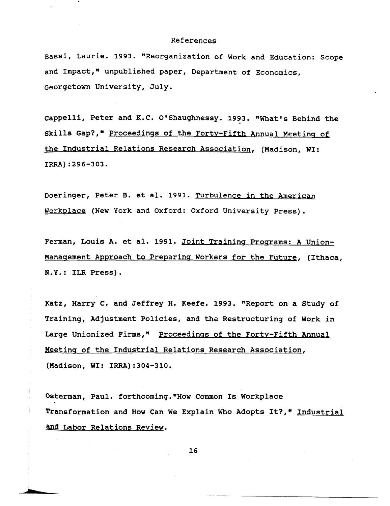#### References

Bassi, Laurie. 1993. "Reorganization of Work and Education: Scope and Impact," unpublished paper, Department of Economics, Georgetown University, July.

Cappelli, Peter and K.C. O'Shaughnessy. 1993. "What's Behind the Skills Gap?," Proceedings of the Forty-Fifth Annual Meeting of the Industrial Relations Research Association, {Madison, WI: IRRA):296-303.

Doeringer, Peter B. et al. 1991. Turbulence in the American Workplace (New York and Oxford: Oxford University Press).

Ferman, Louis A. et al. 1991. Joint Training Programs: A Union-Manaqement Approach to Preparinq Workers for the Future, (Ithaca, N.Y.: ILR Press).

Katz, Harry C. and Jeffrey H. Keefe. 1993. "Report on a Study of Training, Adjustment Policies, and the Restructuring of Work in Large Unionized Firms," Proceedings of the Forty-Fifth Annual Meetinq of the Industrial Relations Research Association, {Madison, WI: IRRA):304-310.

Osterman, Paul. forthcoming."How Common Is Workplace Transformation and How Can We Explain Who Adopts It?," Industrial and Labor Relations Review.

16

~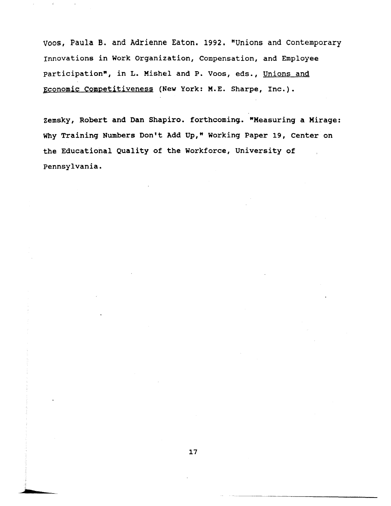Voos, Paula B. and Adrienne Eaton. 1992. "Unions and Contemporary Innovations in Work organization, Compensation, and Employee participation", in L. Mishel and P. Voos, eds., Unions and Economic Competitiveness (New York: M.E. Sharpe, Inc.).

zemsky, Robert and Dan Shapiro. forthcoming. "Measuring a Mirage: Why Training Numbers Don't Add Up," Working Paper 19, Center on the Educational Quality of the Workforce, University of pennsylvania.

---

........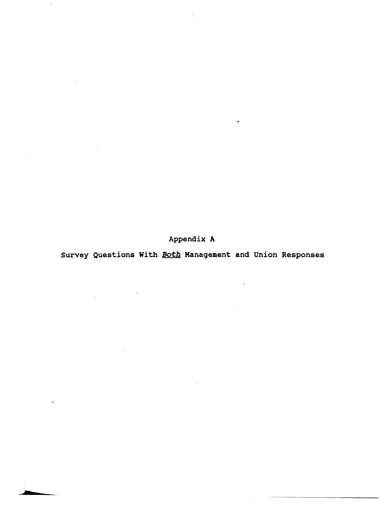Appendix A

Survey Questions With **Both** Management and Union Responses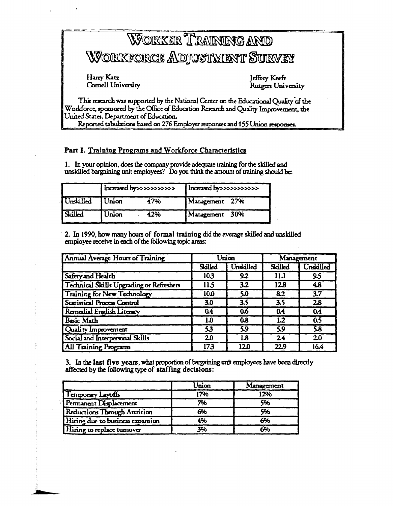# WORKER TRANNING AND Workforce Adjustment Survey

Harry Katz **Comell University** 

Jeffrey Keefe Rutgers University

This research was supported by the National Center on the Educational Quality of the Workforce, sponsored by the Office of Education Research and Quality Improvement, the United States, Department of Education.

Reported tabulations based on 276 Employer responses and 155 Union responses.

### Part I. Training Programs and Workforce Characteristics

1. In your opinion, does the company provide adequate training for the skilled and unskilled bargaining unit employees? Do you think the amount of training should be:

|                 | Increased by >>>>>>>>>>>> |     | Increased by >>>>>>>>>>>> |  |
|-----------------|---------------------------|-----|---------------------------|--|
| Unskilled Union |                           | 47% | Management 27%            |  |
| Sailed          | Union                     | 42% | Management 30%            |  |

2. In 1990, how many hours of formal training did the average skilled and unskilled employee receive in each of the following topic areas:

| Annual Average Hours of Training                | Union  |            | Management       |                  |
|-------------------------------------------------|--------|------------|------------------|------------------|
|                                                 | Salled | Unskilled  | Salled           | Undailed         |
| Safety and Health                               | 103    | 9.2        | 11.1             | 9.5              |
| <b>Technical Skills Upgrading or Refreshers</b> | 11.5   | 3.2        | 128              | 48               |
| <b>Training for New Technology</b>              | 10.0   | 50         | 8.2              | $\overline{3.7}$ |
| <b>Statistical Process Control</b>              | 3.0    | 3.5        | $\overline{3.5}$ | $\overline{28}$  |
| Remedial English Literacy                       | 04     | 0.6        | 04               | 0.4              |
| <b>Basic Math</b>                               | 1.0    | <b>0.8</b> | 1.2              | 0.5              |
| Quality Improvement                             | 53     | 5.9        | 5.9              | 58               |
| Social and Interpersonal Skills                 | 20     | 1.8        | 24               | 20               |
| <b>All Training Programs</b>                    | 173    | 120        | 22.9             | 16.4             |

3. In the last five years, what proportion of bargaining unit employees have been directly affected by the following type of staffing decisions:

|                                  | Union | Management |
|----------------------------------|-------|------------|
| Temporary Layoffs                | 17%   | 12%        |
| Permanent Displacement           | 7%    | 5%         |
| Reductions Through Attrition     | 6%    | 5%         |
| Hiring due to business expansion | 4%    | 6%         |
| Hiring to replace tumover        | 3%    | 6%         |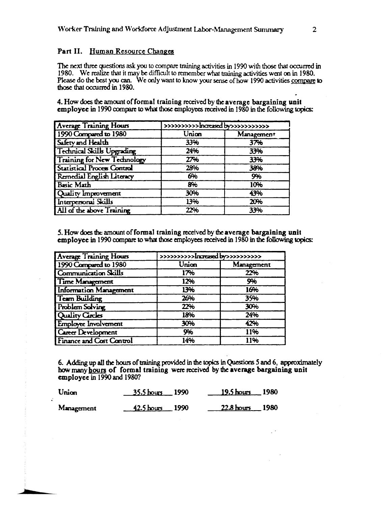#### Part II. Human Resource Changes

The next three questions ask you to compare training activities in 1990 with those that occurred in 1980. We realize that it may be difficult to remember what training activities went on in 1980. Please do the best you can. We only want to know your sense of how 1990 activities compare to those that occurred in 1980.

4. How does the amount of formal training received by the average bargaining unit employee in 1990 compare to what those employees received in 1980 in the following topics:

| <b>Average Training Hours</b>      | >>>>>>>>>>haresed by>>>>>>>>>>> |            |  |
|------------------------------------|---------------------------------|------------|--|
| 1990 Compared to 1980              | Union                           | Management |  |
| Safety and Health                  | 33%                             | 37%        |  |
| <b>Technical Skills Upgrading</b>  | 24%                             | 33%        |  |
| <b>Training for New Technology</b> | 27%                             | 33%        |  |
| <b>Statistical Process Control</b> | 28%                             | 38%        |  |
| Remedial English Literacy          | 6%                              | 9%         |  |
| Basic Math                         | 8%                              | 10%        |  |
| Quality Improvement                | 30%                             | 43%        |  |
| Interpersonal Skills               | 13%                             | 20%        |  |
| All of the above Training          | 22%                             | 33%        |  |

5. How does the amount of formal training received by the average bargaining unit employee in 1990 compare to what those employees received in 1980 in the following topics:

| <b>Average Training Hours</b> | >>>>>>>>>>Increased by>>>>>>>>>>> |            |
|-------------------------------|-----------------------------------|------------|
| 1990 Compared to 1980         | Union                             | Management |
| <b>Communication Skills</b>   | 17%                               | 22%        |
| <b>Time Management</b>        | 12%                               | 9%         |
| <b>Information Management</b> | 13%                               | 16%        |
| Team Building                 | 26%                               | 35%        |
| Problem Solving               | 22%                               | 30%        |
| Quality Circles               | 18%                               | 24%        |
| Employee Involvement          | 30%                               | 42%        |
| <b>Career Development</b>     | 9%                                | 11%        |
| Finance and Cost Control      | 14%                               | 11%        |

6. Adding up all the hours of training provided in the topics in Questions 5 and 6, approximately how many hours of formal training were received by the average bargaining unit employee in 1990 and 1980?

| Union      | $-35.5$ hours 1990 | $19.5 \text{ hours}$ 1980 |
|------------|--------------------|---------------------------|
| Management | $42.5$ hours 1990  | 22.8 hours 1980           |

 $\ddot{\cdot}$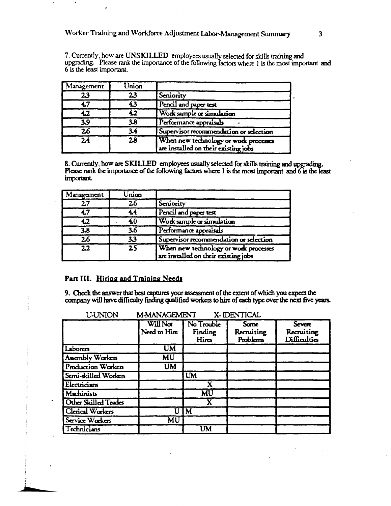7. Currently, how are UNSKILLED employees usually selected for skills training and upgrading. Please rank the importance of the following factors where 1 is the most important and 6 is the least important.

| Management               | Union |                                                                               |
|--------------------------|-------|-------------------------------------------------------------------------------|
| 23                       | 23    | Seniority                                                                     |
| 4.7                      | 4.3   | Pencil and paper test                                                         |
| 4.2                      | 42    | Work sample or simulation                                                     |
| 3.9                      | 3.8   | Performance appraisals                                                        |
| $\overline{\mathbf{26}}$ | 3.4   | Supervisor recommendation or selection                                        |
| $\overline{24}$          | 28    | When new technology or work processes<br>are installed on their existing jobs |

8. Currently, how are SKILLED employees usually selected for skills training and upgrading.<br>Please rank the importance of the following factors where 1 is the most important and 6 is the least important.

| Management      | Unian           |                                                                               |
|-----------------|-----------------|-------------------------------------------------------------------------------|
| 27              | 26              | Seniority                                                                     |
| 47              | 44              | Pencil and paper test                                                         |
| 4.2             | 4.0             | Work sample or simulation                                                     |
| 3.8             | 3.6             | Performance appraisals                                                        |
| $\overline{26}$ | 33              | Supervisor recommendation or selection                                        |
| $\overline{22}$ | $\overline{25}$ | When new technology or work processes<br>are installed on their existing jobs |

#### Part III. Hiring and Training Needs

9. Check the answer that best captures your assessment of the extent of which you expect the company will have difficulty finding qualified workers to hire of each type over the next five years.

| M-MANAGEMENT<br><b>U-UNION</b><br>X-IDENTICAL |                          |                                |                                |                                      |
|-----------------------------------------------|--------------------------|--------------------------------|--------------------------------|--------------------------------------|
|                                               | Will Not<br>Need to Hire | No Trouble<br>Finding<br>Hires | Some<br>Recruiting<br>Problems | Severe<br>Recruiting<br>Difficulties |
| Laborers                                      | $\overline{\text{UM}}$   |                                |                                |                                      |
| Assembly Workers                              | <b>MU</b>                |                                |                                |                                      |
| Production Workers                            | <b>UM</b>                |                                |                                |                                      |
| Semi-skilled Workers                          |                          | <b>UM</b>                      |                                |                                      |
| Electricians                                  |                          | $\overline{\mathbf{X}}$        |                                |                                      |
| Machinists                                    |                          | $\overline{\text{MU}}$         |                                |                                      |
| Other Skilled Trades                          |                          |                                |                                |                                      |
| Clerical Workers                              | U                        | $\overline{\mathbf{M}}$        |                                |                                      |
| Service Workers                               | $\overline{\text{MU}}$   |                                |                                |                                      |
| Technicians                                   |                          | UM                             |                                |                                      |

 $\overline{\mathbf{3}}$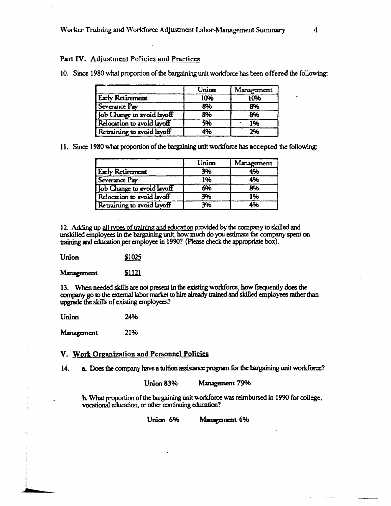#### Part IV. Adjustment Policies and Practices

|                            | Union | Management |
|----------------------------|-------|------------|
| <b>Early Retirement</b>    | 10%   | 10%        |
| Severance Pay              | 8%    | 8%         |
| Job Change to avoid layoff | 8%    | 8%         |
| Relocation to avoid layoff | 596   | 1%         |
| Retraining to avoid layoff | 4%    | 2%         |

10. Since 1980 what proportion of the bargaining unit workforce has been offered the following:

11. Since 1980 what proportion of the bargaining unit workforce has accepted the following:

|                            | Union | Management |
|----------------------------|-------|------------|
| <b>Early Retirement</b>    | 3%    | 4%         |
| Severance Pay              | 1%    | 4%         |
| Job Change to avoid layoff | 6%    | 8%         |
| Relocation to avoid layoff | 3%    | 1%         |
| Retraining to avoid layoff | 3%    | 4%         |

12. Adding up all types of training and education provided by the company to skilled and unskilled employees in the bargaining unit, how much do you estimate the company spent on training and education per employee in 1990? (Please check the appropriate box).

Union \$1025

\$1121 Management

13. When needed skills are not present in the existing workforce, how frequently does the company go to the external labor market to hire already trained and skilled employees rather than upgrade the skills of existing employees?

Union 24%

21% Management

#### V. Work Organization and Personnel Policies

 $14.$ a. Does the company have a tuition assistance program for the bargaining unit workforce?

> Union 83% Management 79%

b. What proportion of the bargaining unit workforce was reimbursed in 1990 for college, vocational education, or other continuing education?

> Union 6% Management 4%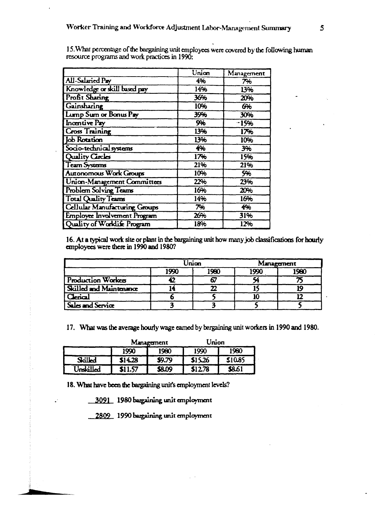|                                      | Union | Management |
|--------------------------------------|-------|------------|
| All-Salaried Pay                     | 4%    | 7%         |
| Knowledge or skill based pay         | 14%   | 13%        |
| Profit Sharing                       | 36%   | 20%        |
| Gainsharing                          | 10%   | 6%         |
| Lump Sum or Bonus Pay                | 39%   | 30%        |
| <b>Incentive Pay</b>                 | 9%    | $-15%$     |
| <b>Cross Training</b>                | 13%   | 17%        |
| <b>Job Rotation</b>                  | 13%   | 10%        |
| Socio-technical systems              | 4%    | 3%         |
| Quality Circles                      | 17%   | 15%        |
| Team Systems                         | 21%   | 21%        |
| Autonomous Work Groups               | 10%   | 5%         |
| Union-Management Committees          | 22%   | 23%        |
| Problem Solving Teams                | 16%   | 20%        |
| <b>Total Quality Teams</b>           | 14%   | 16%        |
| <b>Cellular Manufacturing Groups</b> | 7%    | 4%         |
| Employee Involvement Program         | 26%   | 31%        |
| Quality of Worldife Program          | 18%   | 12%        |

15. What percentage of the bargaining unit employees were covered by the following human resource programs and work practices in 1990:

16. At a typical work site or plant in the bargaining unit how many job classifications for hourly employees were there in 1990 and 1980?

|                         |      | Unian | Management |      |
|-------------------------|------|-------|------------|------|
|                         | 1990 | 1980  | 1990       | 1980 |
| Production Workers      |      |       |            |      |
| Skilled and Maintenance |      |       |            |      |
| Clerical                |      |       |            |      |
| Sales and Service       |      |       |            |      |

17. What was the average hourly wage earned by bergaining unit workers in 1990 and 1980.

|           | Management |        | Union   |              |
|-----------|------------|--------|---------|--------------|
|           | 1990       | 1980   | 1990    | 1980         |
| Salled    | 514.28     | \$9.79 | \$15.26 | \$10.85      |
| Unskilled | \$11.57    | \$8.09 | \$12.78 | <b>S</b> 861 |

18. What have been the bargaining unit's employment levels?

3091 1980 bargaining unit employment

 $\overline{a}$ 

2809 1990 bargaining unit employment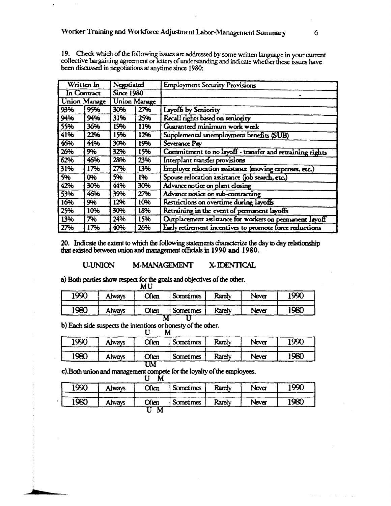|     | Written In   | Negotiated        |                     | <b>Employment Security Provisions</b>                    |
|-----|--------------|-------------------|---------------------|----------------------------------------------------------|
|     | In Contract  | <b>Since 1980</b> |                     |                                                          |
|     | Union Manage |                   | <b>Union Manage</b> |                                                          |
| 93% | 95%          | 30%               | 27%                 | Layoffs by Seniority                                     |
| 94% | 94%          | 31%               | 25%                 | Recall rights based on seniority                         |
| 55% | 36%          | 19%               | 11%                 | Guaranteed minimum work week                             |
| 41% | 22%          | 15%               | 12%                 | Supplemental unemployment benefits (SUB)                 |
| 46% | 44%          | 30%               | 19%                 | Severance Pay                                            |
| 26% | 9%           | 32%               | 15%                 | Commitment to no layoff - transfer and retraining rights |
| 62% | 46%          | 28%               | 23%                 | Interplant transfer provisions                           |
| 31% | 17%          | 27%               | 13%                 | Employee relocation assistance (moving expenses, etc.)   |
| 5%  | 0%           | 5%                | 1%                  | Spouse relocation assistance (job search, etc.)          |
| 42% | 30%          | 44%               | 30%                 | Advance notice on plant closing                          |
| 53% | 46%          | 39%               | 27%                 | Advance notice on sub-contracting                        |
| 16% | 9%           | 12%               | 10%                 | Restrictions on overtime during layoffs                  |
| 25% | 10%          | 30%               | 18%                 | Retraining in the event of permanent layoffs             |
| 13% | 7%           | 24%               | 15%                 | Outplacement assistance for workers on permanent layoff  |
| 27% | 17%          | 40%               | 26%                 | Early retirement incentives to promote force reductions  |

19. Check which of the following issues are addressed by some written language in your current collective bargaining agreement or letters of understanding and indicate whether these issues have been discussed in negotiations at anytime since 1980:

20. Indicate the extent to which the following statements characterize the day to day relationship that existed between union and management officials in 1990 and 1980.

#### **U-UNION** M-MANAGEMENT X-IDENTICAL

a) Both parties show respect for the goals and objectives of the other. **MII** 

| 1990 | Always | Often   | <b>Sometimes</b> | Rarely | Never | 1990 |
|------|--------|---------|------------------|--------|-------|------|
| 1980 | Always | $O$ ien | <b>Sometimes</b> | Rarely | Never | 1980 |

b) Each side suspects the intentions or honesty of the other.  $\overline{\mathbf{r}}$ 

| 1990 | Always | O(m)  | <b>Sometimes</b> | Rarely | Never | 1990 |
|------|--------|-------|------------------|--------|-------|------|
| 1980 | Always | Often | <b>Sometimes</b> | Rarely | Never | 1980 |

c). Both union and management compete for the loyalty of the employees.<br>U  $\,$  M

|      |               | . .<br> |                  |        |       |      |
|------|---------------|---------|------------------|--------|-------|------|
| 1990 | <b>Always</b> | Often   | <b>Sometimes</b> | Rarely | Never | 1990 |
| 1980 | Always        | Often   | Sometimes        | Rarely | Never | 1980 |
|      |               | M       |                  |        |       |      |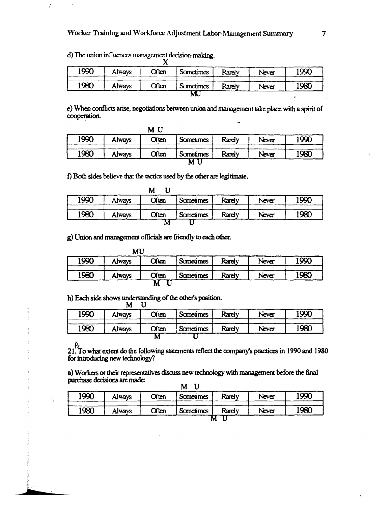d) The union influences management decision-making. X

 $\dot{\phantom{a}}$ 

÷.

| 1990 | Always | Often   | Sometimes | Rarely | Never | 1990 |
|------|--------|---------|-----------|--------|-------|------|
| 1980 | Always | $O$ ten | Sometimes | Rarely | Never | 1980 |
|      |        |         | M.        |        |       |      |

e) When conflicts arise, negotiations between union and management take place with a spirit of cooperation.

|      |        | M U   |                  |        |       |      |
|------|--------|-------|------------------|--------|-------|------|
| 1990 | Always | O(m)  | <b>Sometimes</b> | Rarely | Neva  | 1990 |
| 1980 | Always | Often | <b>Sometimes</b> | Rarely | Never | 1980 |
|      |        |       | M                |        |       |      |

f) Both sides believe that the tactics used by the other are legitimate.

| 1990 | Always | Often | <b>Sometimes</b> | Rarely | Never | 1990 |
|------|--------|-------|------------------|--------|-------|------|
| 1980 | Always | Often | <b>Sometimes</b> | Rarely | Never | 1980 |

g) Union and management officials are friendly to each other.

|      | MU     |       |                  |        |       |      |
|------|--------|-------|------------------|--------|-------|------|
| 1990 | Always | Often | <b>Sometimes</b> | Rarely | Never | 1990 |
| 1980 | Always | Often | <b>Sometimes</b> | Rarely | Never | 1980 |
|      |        | м     |                  |        |       |      |

h) Each side shows understanding of the other's position.  $M$   $I$ <sup>T</sup>

| 1990 | Always        | Often | Sometimes | Rarely | Never | 1990 |
|------|---------------|-------|-----------|--------|-------|------|
| 1980 | <b>Always</b> | Often | Sometimes | Rarely | Never | 1980 |
|      |               | M     |           |        |       |      |

 $\upbeta$ .<br>21. To what extent do the following statements reflect the company's practices in 1990 and 1980 for introducing new technology?

a) Workers or their representatives discuss new technology with management before the final purchase decisions are made: **M** II

| 1990 | Always | Often | <b>Sometimes</b> | Rarely | Never | 1990 |
|------|--------|-------|------------------|--------|-------|------|
| 1980 | Always | Often | <b>Sometimes</b> | Rarely | Never | 1980 |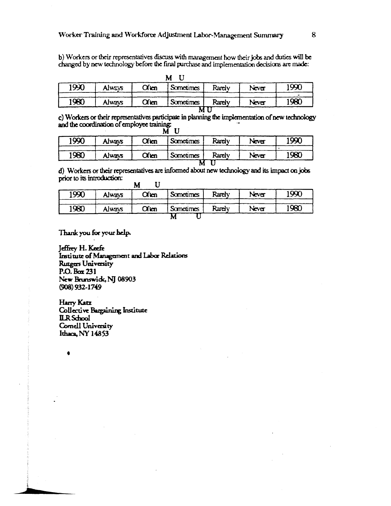b) Workers or their representatives discuss with management how their jobs and duties will be changed by new technology before the final purchase and implementation decisions are made:

|        |         | M                |        |       |      |
|--------|---------|------------------|--------|-------|------|
| Always | $O$ icn | <b>Sometimes</b> | Rarely | Never | 1990 |
|        |         |                  |        |       |      |
| Always | $O$ ien | <b>Sometimes</b> | Rarely | Never | 1980 |
|        |         |                  |        |       |      |
|        |         |                  |        | м     |      |

c) Workers or their representatives participate in planning the implementation of new technology c) Workers or use represented by  $\frac{1}{2}$  and the coordination of employee training:<br>M U

| 1990 | Always | Often | <b>Sometimes</b> | Rarely | Never | 1990 |
|------|--------|-------|------------------|--------|-------|------|
| 1980 | Always | O(m)  | <b>Sometimes</b> | Rarely | Never | 1980 |
|      |        |       |                  |        |       |      |

d) Workers or their representatives are informed about new technology and its impact on jobs prior to its introduction:  $\overline{\phantom{a}}$ TT.

| 1990 | Always | Often | <b>Sometimes</b> | Rarely | Never | 1990 |
|------|--------|-------|------------------|--------|-------|------|
| 1980 | Always | Often | <b>Sometimes</b> | Rarely | Never | 1980 |

Thank you for your help.

Jeffrey H. Keefe Institute of Management and Labor Relations Rutgers University  $P.O.$  Box 231 New Brunswick, NJ 08903  $(908)$  932-1749

Harry Katz **Collective Bargaining Institute ILR** School Cornell University Ithaca, NY 14853

â